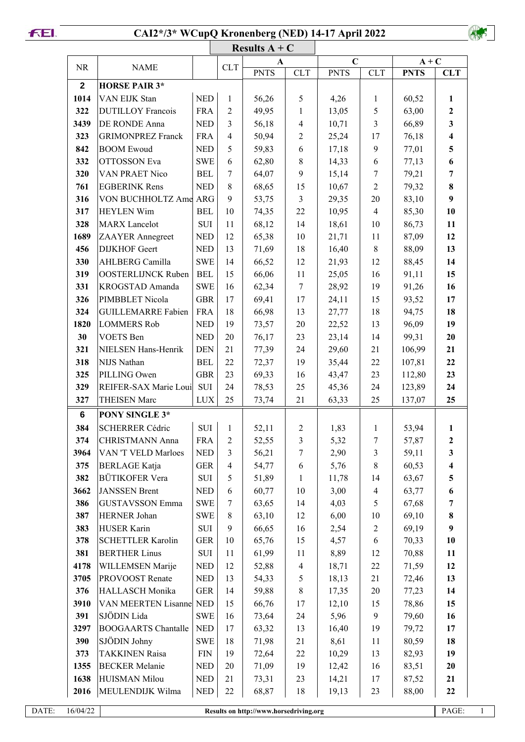## **CAI2\*/3\* WCupQ Kronenberg (NED) 14-17 April 2022**



|              | Results $A + C$            |            |                |                                        |                |             |                |             |                         |  |  |
|--------------|----------------------------|------------|----------------|----------------------------------------|----------------|-------------|----------------|-------------|-------------------------|--|--|
| <b>NR</b>    | <b>NAME</b>                |            | CLT            | A                                      |                | $\mathbf C$ |                | $A + C$     |                         |  |  |
|              |                            |            |                | <b>PNTS</b>                            | CLT            | <b>PNTS</b> | <b>CLT</b>     | <b>PNTS</b> | <b>CLT</b>              |  |  |
| $\mathbf{2}$ | <b>HORSE PAIR 3*</b>       |            |                |                                        |                |             |                |             |                         |  |  |
| 1014         | VAN EIJK Stan              | <b>NED</b> | 1              | 56,26                                  | 5              | 4,26        | $\mathbf{1}$   | 60,52       | 1                       |  |  |
| 322          | <b>DUTILLOY Francois</b>   | <b>FRA</b> | $\overline{2}$ | 49,95                                  | $\mathbf{1}$   | 13,05       | 5              | 63,00       | $\overline{2}$          |  |  |
| 3439         | <b>DE RONDE Anna</b>       | <b>NED</b> | 3              | 56,18                                  | $\overline{4}$ | 10,71       | $\mathfrak{Z}$ | 66,89       | $\overline{\mathbf{3}}$ |  |  |
| 323          | <b>GRIMONPREZ Franck</b>   | <b>FRA</b> | $\overline{4}$ | 50,94                                  | $\overline{2}$ | 25,24       | 17             | 76,18       | $\overline{\mathbf{4}}$ |  |  |
| 842          | <b>BOOM Ewoud</b>          | <b>NED</b> | 5              | 59,83                                  | 6              | 17,18       | $\mathfrak{g}$ | 77,01       | 5                       |  |  |
| 332          | <b>OTTOSSON</b> Eva        | <b>SWE</b> | 6              | 62,80                                  | $8\,$          | 14,33       | 6              | 77,13       | 6                       |  |  |
| 320          | <b>VAN PRAET Nico</b>      | <b>BEL</b> | 7              | 64,07                                  | 9              | 15,14       | $\overline{7}$ | 79,21       | 7                       |  |  |
| 761          | <b>EGBERINK Rens</b>       | <b>NED</b> | 8              | 68,65                                  | 15             | 10,67       | $\overline{2}$ | 79,32       | 8                       |  |  |
| 316          | VON BUCHHOLTZ Ame ARG      |            | 9              | 53,75                                  | $\mathfrak{Z}$ | 29,35       | 20             | 83,10       | 9                       |  |  |
| 317          | <b>HEYLEN</b> Wim          | <b>BEL</b> | 10             | 74,35                                  | 22             | 10,95       | $\overline{4}$ | 85,30       | 10                      |  |  |
| 328          | <b>MARX</b> Lancelot       | SUI        | 11             | 68,12                                  | 14             | 18,61       | $10\,$         | 86,73       | 11                      |  |  |
| 1689         | ZAAYER Annegreet           | <b>NED</b> | 12             | 65,38                                  | 10             | 21,71       | 11             | 87,09       | 12                      |  |  |
| 456          | <b>DIJKHOF</b> Geert       | <b>NED</b> | 13             | 71,69                                  | 18             | 16,40       | $\,8\,$        | 88,09       | 13                      |  |  |
| 330          | AHLBERG Camilla            | <b>SWE</b> | 14             | 66,52                                  | 12             | 21,93       | 12             | 88,45       | 14                      |  |  |
| 319          | <b>OOSTERLIJNCK Ruben</b>  | <b>BEL</b> | 15             | 66,06                                  | 11             | 25,05       | 16             | 91,11       | 15                      |  |  |
| 331          | KROGSTAD Amanda            | <b>SWE</b> | 16             | 62,34                                  | $\tau$         | 28,92       | 19             | 91,26       | 16                      |  |  |
| 326          | PIMBBLET Nicola            | <b>GBR</b> | 17             | 69,41                                  | 17             | 24,11       | 15             | 93,52       | 17                      |  |  |
| 324          | <b>GUILLEMARRE Fabien</b>  | <b>FRA</b> | 18             | 66,98                                  | 13             | 27,77       | 18             | 94,75       | 18                      |  |  |
| 1820         | <b>LOMMERS Rob</b>         | <b>NED</b> | 19             | 73,57                                  | 20             | 22,52       | 13             | 96,09       | 19                      |  |  |
| 30           | <b>VOETS</b> Ben           | <b>NED</b> | 20             | 76,17                                  | 23             | 23,14       | 14             | 99,31       | 20                      |  |  |
| 321          | NIELSEN Hans-Henrik        | <b>DEN</b> | 21             | 77,39                                  | 24             | 29,60       | 21             | 106,99      | 21                      |  |  |
| 318          | NIJS Nathan                | <b>BEL</b> | 22             | 72,37                                  | 19             | 35,44       | 22             | 107,81      | 22                      |  |  |
| 325          | PILLING Owen               | <b>GBR</b> | 23             | 69,33                                  | 16             | 43,47       | 23             | 112,80      | 23                      |  |  |
| 329          | REIFER-SAX Marie Loui      | SUI        | 24             | 78,53                                  | 25             | 45,36       | 24             | 123,89      | 24                      |  |  |
| 327          | THEISEN Marc               | <b>LUX</b> | 25             | 73,74                                  | 21             | 63,33       | 25             | 137,07      | 25                      |  |  |
| 6            | PONY SINGLE 3*             |            |                |                                        |                |             |                |             |                         |  |  |
| 384          | <b>SCHERRER Cédric</b>     | SUI        | $\mathbf{1}$   | 52,11                                  | $\overline{c}$ | 1,83        | $\mathbf{1}$   | 53,94       | $\mathbf{1}$            |  |  |
| 374          | CHRISTMANN Anna            | <b>FRA</b> | $\overline{c}$ | 52,55                                  | $\mathfrak{Z}$ | 5,32        | $\tau$         | 57,87       | $\mathbf 2$             |  |  |
| 3964         | VAN 'T VELD Marloes        | <b>NED</b> | 3              | 56,21                                  | 7              | 2,90        | 3              | 59,11       | 3                       |  |  |
| 375          | <b>BERLAGE Katja</b>       | <b>GER</b> | $\overline{4}$ | 54,77                                  | 6              | 5,76        | $\,8\,$        | 60,53       | $\overline{\mathbf{4}}$ |  |  |
| 382          | <b>BÜTIKOFER Vera</b>      | SUI        | 5              | 51,89                                  | $\mathbf{1}$   | 11,78       | 14             | 63,67       | 5 <sup>5</sup>          |  |  |
| 3662         | JANSSEN Brent              | <b>NED</b> | 6              | 60,77                                  | 10             | 3,00        | $\overline{4}$ | 63,77       | 6                       |  |  |
| 386          | <b>GUSTAVSSON Emma</b>     | <b>SWE</b> | 7              | 63,65                                  | 14             | 4,03        | 5              | 67,68       | 7                       |  |  |
| 387          | HERNER Johan               | <b>SWE</b> | 8              | 63,10                                  | 12             | 6,00        | 10             | 69,10       | 8                       |  |  |
| 383          | HUSER Karin                | SUI        | 9              | 66,65                                  | 16             | 2,54        | $\sqrt{2}$     | 69,19       | 9                       |  |  |
| 378          | <b>SCHETTLER Karolin</b>   | <b>GER</b> | 10             | 65,76                                  | 15             | 4,57        | 6              | 70,33       | 10                      |  |  |
| 381          | <b>BERTHER Linus</b>       | SUI        | 11             | 61,99                                  | 11             | 8,89        | 12             | 70,88       | 11                      |  |  |
| 4178         | WILLEMSEN Marije           | <b>NED</b> | 12             | 52,88                                  | $\overline{4}$ | 18,71       | 22             | 71,59       | 12                      |  |  |
| 3705         | <b>PROVOOST</b> Renate     | <b>NED</b> | 13             | 54,33                                  | 5              | 18,13       | 21             | 72,46       | 13                      |  |  |
| 376          | <b>HALLASCH Monika</b>     | <b>GER</b> | 14             | 59,88                                  | 8              | 17,35       | 20             | 77,23       | 14                      |  |  |
| 3910         | VAN MEERTEN Lisanne NED    |            | 15             | 66,76                                  | 17             | 12,10       | 15             | 78,86       | 15                      |  |  |
| 391          | SJÖDIN Lida                | <b>SWE</b> | 16             | 73,64                                  | 24             | 5,96        | 9              | 79,60       | 16                      |  |  |
| 3297         | <b>BOOGAARTS</b> Chantalle | <b>NED</b> | 17             | 63,32                                  | 13             | 16,40       | 19             | 79,72       | 17                      |  |  |
| 390          | SJÖDIN Johny               | <b>SWE</b> | 18             | 71,98                                  | 21             | 8,61        | 11             | 80,59       | 18                      |  |  |
| 373          | <b>TAKKINEN Raisa</b>      | <b>FIN</b> | 19             | 72,64                                  | 22             | 10,29       | 13             | 82,93       | 19                      |  |  |
| 1355         | <b>BECKER</b> Melanie      | <b>NED</b> | 20             | 71,09                                  | 19             | 12,42       | 16             | 83,51       | 20                      |  |  |
| 1638         | HUISMAN Milou              | <b>NED</b> | 21             | 73,31                                  | 23             | 14,21       | 17             | 87,52       | 21                      |  |  |
| 2016         | MEULENDIJK Wilma           | <b>NED</b> | 22             | 68,87                                  | 18             | 19,13       | 23             | 88,00       | 22                      |  |  |
|              |                            |            |                |                                        |                |             |                |             |                         |  |  |
| 16/04/22     |                            |            |                | Results on http://www.horsedriving.org |                |             |                |             | PAGE:                   |  |  |

**FEL**